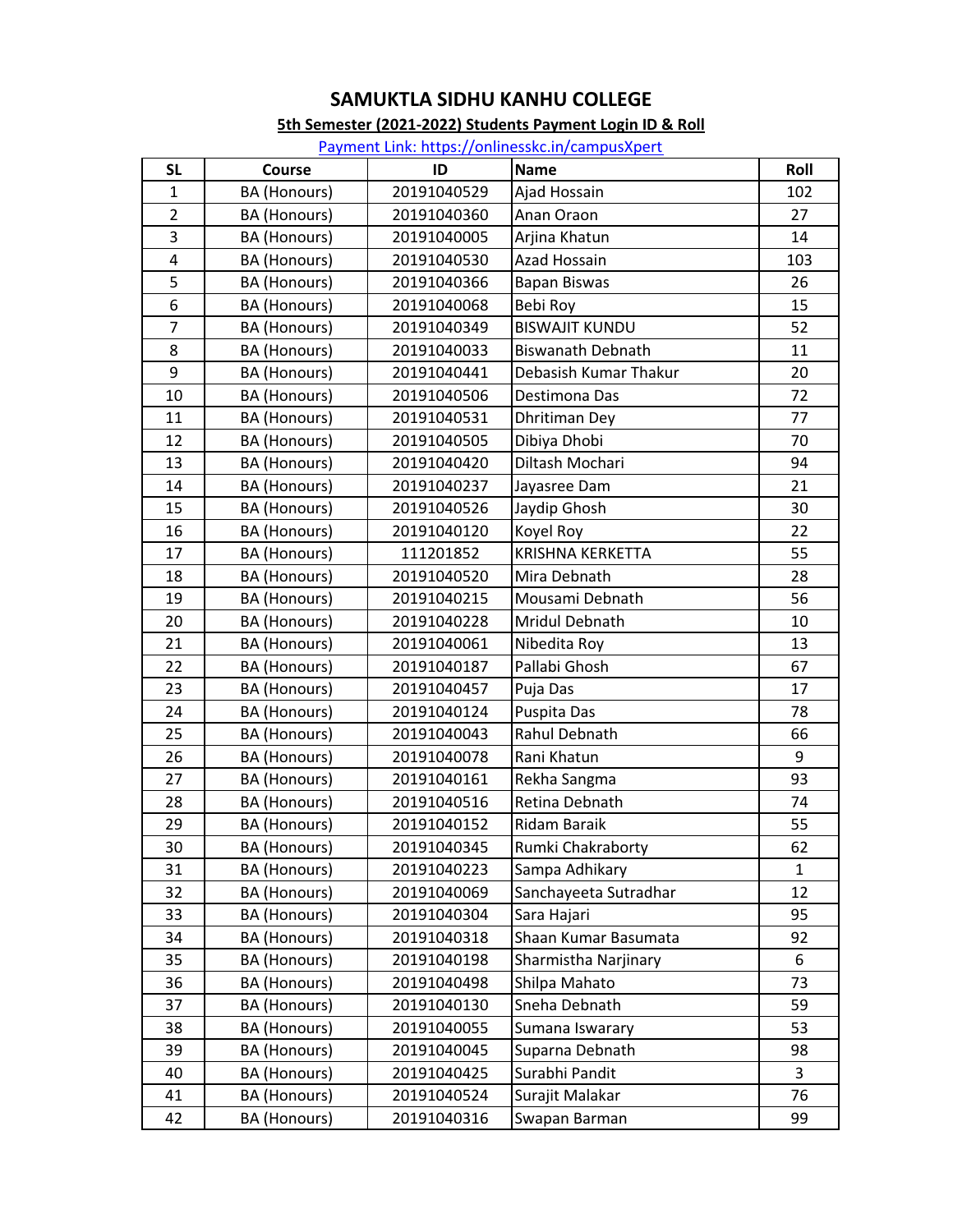#### 5th Semester (2021-2022) Students Payment Login ID & Roll

| <b>SL</b>      | Course              | ID          | <b>Name</b>              | Roll |
|----------------|---------------------|-------------|--------------------------|------|
| $\mathbf{1}$   | BA (Honours)        | 20191040529 | Ajad Hossain             | 102  |
| $\overline{2}$ | <b>BA</b> (Honours) | 20191040360 | Anan Oraon               | 27   |
| 3              | BA (Honours)        | 20191040005 | Arjina Khatun            | 14   |
| 4              | <b>BA</b> (Honours) | 20191040530 | Azad Hossain             | 103  |
| 5              | BA (Honours)        | 20191040366 | <b>Bapan Biswas</b>      | 26   |
| 6              | BA (Honours)        | 20191040068 | Bebi Roy                 | 15   |
| $\overline{7}$ | <b>BA</b> (Honours) | 20191040349 | <b>BISWAJIT KUNDU</b>    | 52   |
| 8              | BA (Honours)        | 20191040033 | <b>Biswanath Debnath</b> | 11   |
| 9              | <b>BA</b> (Honours) | 20191040441 | Debasish Kumar Thakur    | 20   |
| 10             | BA (Honours)        | 20191040506 | Destimona Das            | 72   |
| 11             | BA (Honours)        | 20191040531 | Dhritiman Dey            | 77   |
| 12             | BA (Honours)        | 20191040505 | Dibiya Dhobi             | 70   |
| 13             | <b>BA</b> (Honours) | 20191040420 | Diltash Mochari          | 94   |
| 14             | <b>BA</b> (Honours) | 20191040237 | Jayasree Dam             | 21   |
| 15             | BA (Honours)        | 20191040526 | Jaydip Ghosh             | 30   |
| 16             | <b>BA</b> (Honours) | 20191040120 | Koyel Roy                | 22   |
| 17             | BA (Honours)        | 111201852   | <b>KRISHNA KERKETTA</b>  | 55   |
| 18             | BA (Honours)        | 20191040520 | Mira Debnath             | 28   |
| 19             | <b>BA</b> (Honours) | 20191040215 | Mousami Debnath          | 56   |
| 20             | BA (Honours)        | 20191040228 | Mridul Debnath           | 10   |
| 21             | BA (Honours)        | 20191040061 | Nibedita Roy             | 13   |
| 22             | BA (Honours)        | 20191040187 | Pallabi Ghosh            | 67   |
| 23             | <b>BA</b> (Honours) | 20191040457 | Puja Das                 | 17   |
| 24             | BA (Honours)        | 20191040124 | Puspita Das              | 78   |
| 25             | BA (Honours)        | 20191040043 | Rahul Debnath            | 66   |
| 26             | <b>BA</b> (Honours) | 20191040078 | Rani Khatun              | 9    |
| 27             | <b>BA</b> (Honours) | 20191040161 | Rekha Sangma             | 93   |
| 28             | <b>BA</b> (Honours) | 20191040516 | Retina Debnath           | 74   |
| 29             | <b>BA</b> (Honours) | 20191040152 | Ridam Baraik             | 55   |
| 30             | BA (Honours)        | 20191040345 | Rumki Chakraborty        | 62   |
| 31             | BA (Honours)        | 20191040223 | Sampa Adhikary           | 1    |
| 32             | BA (Honours)        | 20191040069 | Sanchayeeta Sutradhar    | 12   |
| 33             | BA (Honours)        | 20191040304 | Sara Hajari              | 95   |
| 34             | BA (Honours)        | 20191040318 | Shaan Kumar Basumata     | 92   |
| 35             | BA (Honours)        | 20191040198 | Sharmistha Narjinary     | 6    |
| 36             | BA (Honours)        | 20191040498 | Shilpa Mahato            | 73   |
| 37             | BA (Honours)        | 20191040130 | Sneha Debnath            | 59   |
| 38             | BA (Honours)        | 20191040055 | Sumana Iswarary          | 53   |
| 39             | BA (Honours)        | 20191040045 | Suparna Debnath          | 98   |
| 40             | BA (Honours)        | 20191040425 | Surabhi Pandit           | 3    |
| 41             | BA (Honours)        | 20191040524 | Surajit Malakar          | 76   |
| 42             | BA (Honours)        | 20191040316 | Swapan Barman            | 99   |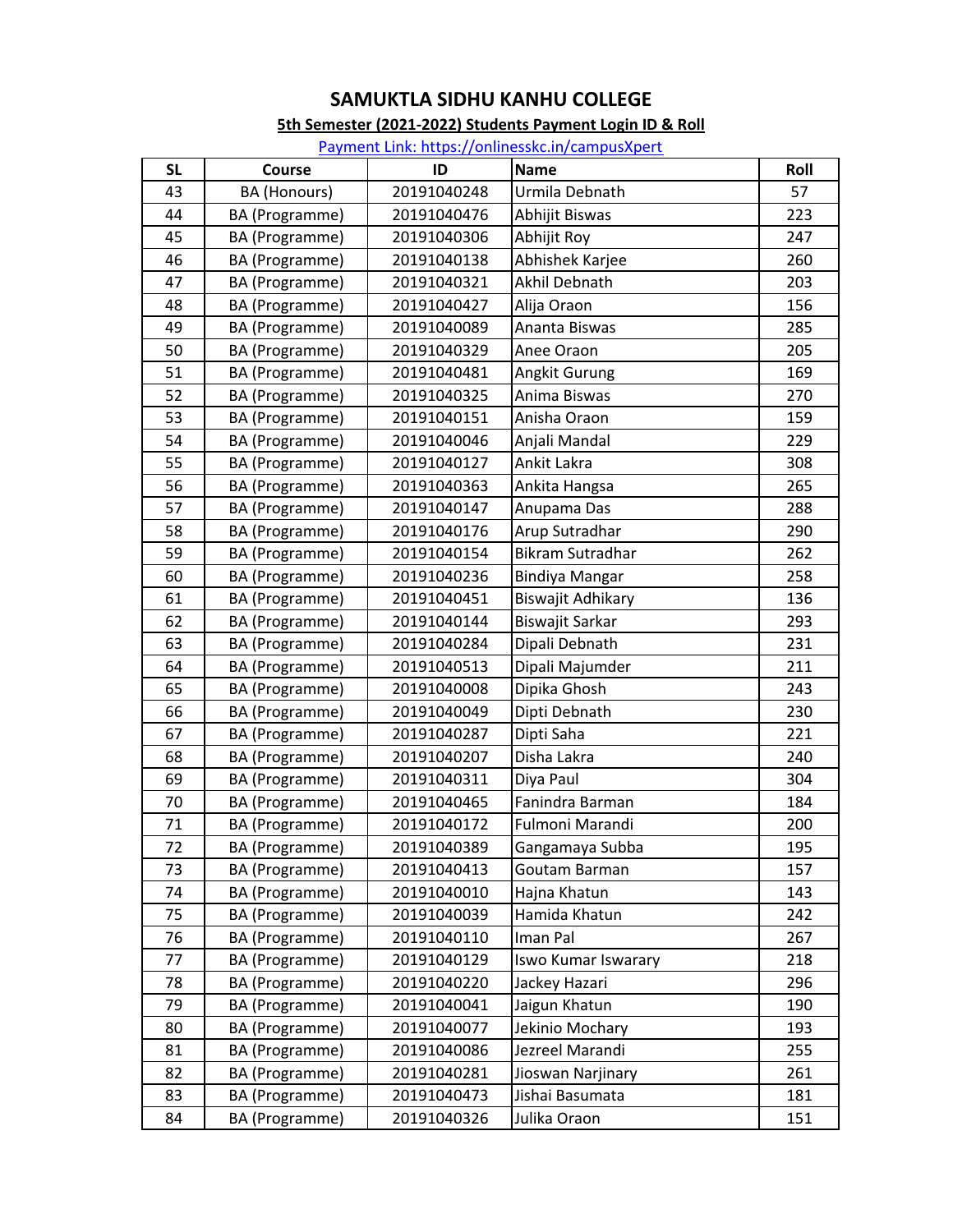#### 5th Semester (2021-2022) Students Payment Login ID & Roll

| <b>SL</b> | <b>Course</b>       | ID          | <b>Name</b>           | Roll |
|-----------|---------------------|-------------|-----------------------|------|
| 43        | <b>BA</b> (Honours) | 20191040248 | Urmila Debnath        | 57   |
| 44        | BA (Programme)      | 20191040476 | Abhijit Biswas        | 223  |
| 45        | BA (Programme)      | 20191040306 | Abhijit Roy           | 247  |
| 46        | BA (Programme)      | 20191040138 | Abhishek Karjee       | 260  |
| 47        | BA (Programme)      | 20191040321 | Akhil Debnath         | 203  |
| 48        | BA (Programme)      | 20191040427 | Alija Oraon           | 156  |
| 49        | BA (Programme)      | 20191040089 | Ananta Biswas         | 285  |
| 50        | BA (Programme)      | 20191040329 | Anee Oraon            | 205  |
| 51        | BA (Programme)      | 20191040481 | Angkit Gurung         | 169  |
| 52        | BA (Programme)      | 20191040325 | Anima Biswas          | 270  |
| 53        | BA (Programme)      | 20191040151 | Anisha Oraon          | 159  |
| 54        | BA (Programme)      | 20191040046 | Anjali Mandal         | 229  |
| 55        | BA (Programme)      | 20191040127 | Ankit Lakra           | 308  |
| 56        | BA (Programme)      | 20191040363 | Ankita Hangsa         | 265  |
| 57        | BA (Programme)      | 20191040147 | Anupama Das           | 288  |
| 58        | BA (Programme)      | 20191040176 | Arup Sutradhar        | 290  |
| 59        | BA (Programme)      | 20191040154 | Bikram Sutradhar      | 262  |
| 60        | BA (Programme)      | 20191040236 | <b>Bindiya Mangar</b> | 258  |
| 61        | BA (Programme)      | 20191040451 | Biswajit Adhikary     | 136  |
| 62        | BA (Programme)      | 20191040144 | Biswajit Sarkar       | 293  |
| 63        | BA (Programme)      | 20191040284 | Dipali Debnath        | 231  |
| 64        | BA (Programme)      | 20191040513 | Dipali Majumder       | 211  |
| 65        | BA (Programme)      | 20191040008 | Dipika Ghosh          | 243  |
| 66        | BA (Programme)      | 20191040049 | Dipti Debnath         | 230  |
| 67        | BA (Programme)      | 20191040287 | Dipti Saha            | 221  |
| 68        | BA (Programme)      | 20191040207 | Disha Lakra           | 240  |
| 69        | BA (Programme)      | 20191040311 | Diya Paul             | 304  |
| 70        | BA (Programme)      | 20191040465 | Fanindra Barman       | 184  |
| 71        | BA (Programme)      | 20191040172 | Fulmoni Marandi       | 200  |
| 72        | BA (Programme)      | 20191040389 | Gangamaya Subba       | 195  |
| 73        | BA (Programme)      | 20191040413 | Goutam Barman         | 157  |
| 74        | BA (Programme)      | 20191040010 | Hajna Khatun          | 143  |
| 75        | BA (Programme)      | 20191040039 | Hamida Khatun         | 242  |
| 76        | BA (Programme)      | 20191040110 | Iman Pal              | 267  |
| 77        | BA (Programme)      | 20191040129 | Iswo Kumar Iswarary   | 218  |
| 78        | BA (Programme)      | 20191040220 | Jackey Hazari         | 296  |
| 79        | BA (Programme)      | 20191040041 | Jaigun Khatun         | 190  |
| 80        | BA (Programme)      | 20191040077 | Jekinio Mochary       | 193  |
| 81        | BA (Programme)      | 20191040086 | Jezreel Marandi       | 255  |
| 82        | BA (Programme)      | 20191040281 | Jioswan Narjinary     | 261  |
| 83        | BA (Programme)      | 20191040473 | Jishai Basumata       | 181  |
| 84        | BA (Programme)      | 20191040326 | Julika Oraon          | 151  |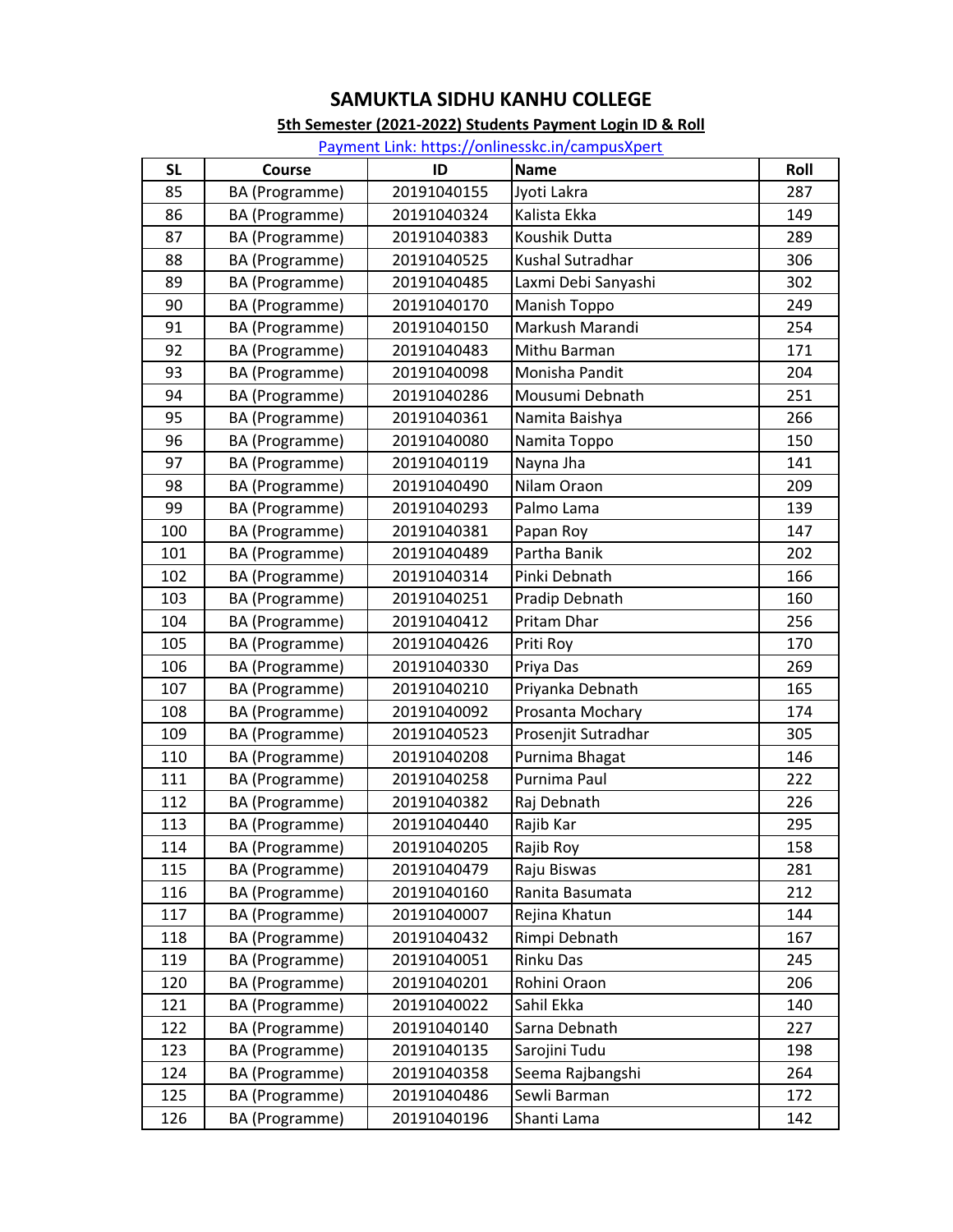#### 5th Semester (2021-2022) Students Payment Login ID & Roll

| <b>SL</b> | <b>Course</b>  | ID          | <b>Name</b>         | Roll |
|-----------|----------------|-------------|---------------------|------|
| 85        | BA (Programme) | 20191040155 | Jyoti Lakra         | 287  |
| 86        | BA (Programme) | 20191040324 | Kalista Ekka        | 149  |
| 87        | BA (Programme) | 20191040383 | Koushik Dutta       | 289  |
| 88        | BA (Programme) | 20191040525 | Kushal Sutradhar    | 306  |
| 89        | BA (Programme) | 20191040485 | Laxmi Debi Sanyashi | 302  |
| 90        | BA (Programme) | 20191040170 | Manish Toppo        | 249  |
| 91        | BA (Programme) | 20191040150 | Markush Marandi     | 254  |
| 92        | BA (Programme) | 20191040483 | Mithu Barman        | 171  |
| 93        | BA (Programme) | 20191040098 | Monisha Pandit      | 204  |
| 94        | BA (Programme) | 20191040286 | Mousumi Debnath     | 251  |
| 95        | BA (Programme) | 20191040361 | Namita Baishya      | 266  |
| 96        | BA (Programme) | 20191040080 | Namita Toppo        | 150  |
| 97        | BA (Programme) | 20191040119 | Nayna Jha           | 141  |
| 98        | BA (Programme) | 20191040490 | Nilam Oraon         | 209  |
| 99        | BA (Programme) | 20191040293 | Palmo Lama          | 139  |
| 100       | BA (Programme) | 20191040381 | Papan Roy           | 147  |
| 101       | BA (Programme) | 20191040489 | Partha Banik        | 202  |
| 102       | BA (Programme) | 20191040314 | Pinki Debnath       | 166  |
| 103       | BA (Programme) | 20191040251 | Pradip Debnath      | 160  |
| 104       | BA (Programme) | 20191040412 | Pritam Dhar         | 256  |
| 105       | BA (Programme) | 20191040426 | Priti Roy           | 170  |
| 106       | BA (Programme) | 20191040330 | Priya Das           | 269  |
| 107       | BA (Programme) | 20191040210 | Priyanka Debnath    | 165  |
| 108       | BA (Programme) | 20191040092 | Prosanta Mochary    | 174  |
| 109       | BA (Programme) | 20191040523 | Prosenjit Sutradhar | 305  |
| 110       | BA (Programme) | 20191040208 | Purnima Bhagat      | 146  |
| 111       | BA (Programme) | 20191040258 | Purnima Paul        | 222  |
| 112       | BA (Programme) | 20191040382 | Raj Debnath         | 226  |
| 113       | BA (Programme) | 20191040440 | Rajib Kar           | 295  |
| 114       | BA (Programme) | 20191040205 | Rajib Roy           | 158  |
| 115       | BA (Programme) | 20191040479 | Raju Biswas         | 281  |
| 116       | BA (Programme) | 20191040160 | Ranita Basumata     | 212  |
| 117       | BA (Programme) | 20191040007 | Rejina Khatun       | 144  |
| 118       | BA (Programme) | 20191040432 | Rimpi Debnath       | 167  |
| 119       | BA (Programme) | 20191040051 | Rinku Das           | 245  |
| 120       | BA (Programme) | 20191040201 | Rohini Oraon        | 206  |
| 121       | BA (Programme) | 20191040022 | Sahil Ekka          | 140  |
| 122       | BA (Programme) | 20191040140 | Sarna Debnath       | 227  |
| 123       | BA (Programme) | 20191040135 | Sarojini Tudu       | 198  |
| 124       | BA (Programme) | 20191040358 | Seema Rajbangshi    | 264  |
| 125       | BA (Programme) | 20191040486 | Sewli Barman        | 172  |
| 126       | BA (Programme) | 20191040196 | Shanti Lama         | 142  |